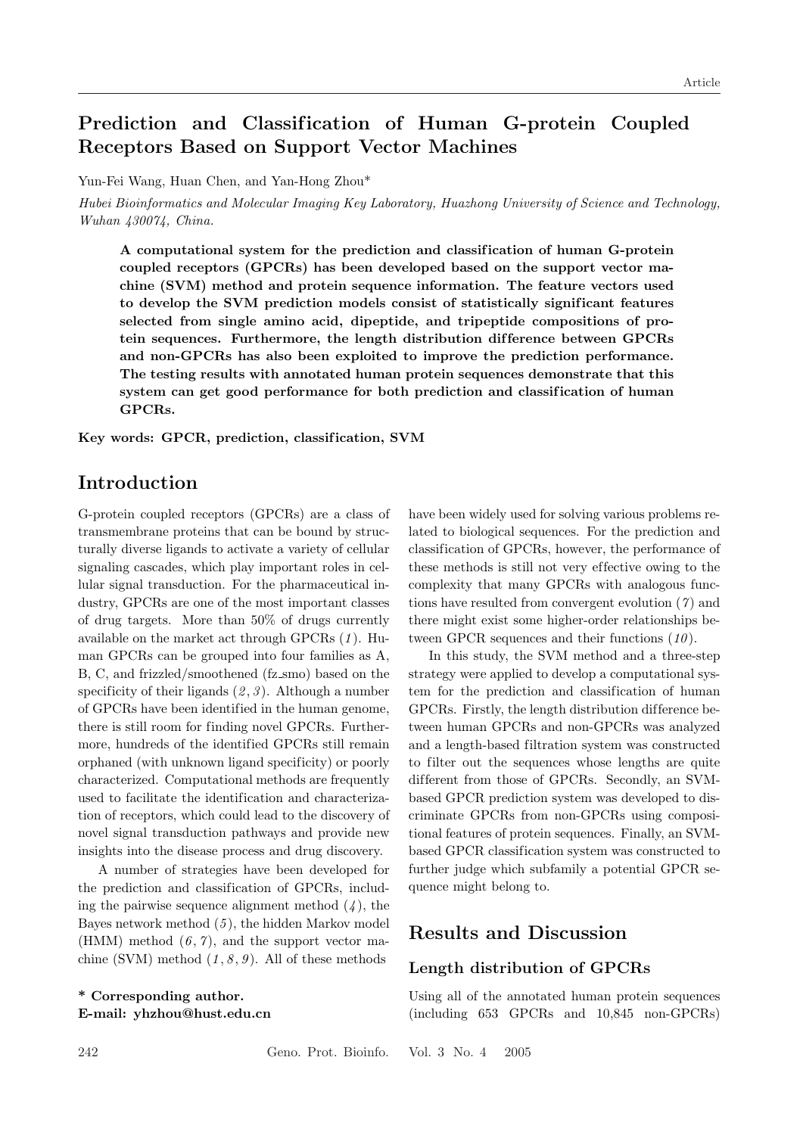# Prediction and Classification of Human G-protein Coupled Receptors Based on Support Vector Machines

Yun-Fei Wang, Huan Chen, and Yan-Hong Zhou\*

Hubei Bioinformatics and Molecular Imaging Key Laboratory, Huazhong University of Science and Technology, Wuhan 430074, China.

A computational system for the prediction and classif ication of human G-protein coupled receptors (GPCRs) has been developed based on the support vector machine (SVM) method and protein sequence information. The feature vectors used to develop the SVM prediction models consist of statistically significant features selected from single amino acid, dipeptide, and tripeptide compositions of protein sequences. Furthermore, the length distribution dif ference between GPCRs and non-GPCRs has also been exploited to improve the prediction performance. The testing results with annotated human protein sequences demonstrate that this system can get good performance for both prediction and classification of human GPCRs.

Key words: GPCR, prediction, classification, SVM

### Introduction

G-protein coupled receptors (GPCRs) are a class of transmembrane proteins that can be bound by structurally diverse ligands to activate a variety of cellular signaling cascades, which play important roles in cellular signal transduction. For the pharmaceutical industry, GPCRs are one of the most important classes of drug targets. More than 50% of drugs currently available on the market act through GPCRs  $(1)$ . Human GPCRs can be grouped into four families as A, B, C, and frizzled/smoothened (fz smo) based on the specificity of their ligands  $(2, 3)$ . Although a number of GPCRs have been identified in the human genome, there is still room for finding novel GPCRs. Furthermore, hundreds of the identified GPCRs still remain orphaned (with unknown ligand specificity) or poorly characterized. Computational methods are frequently used to facilitate the identification and characterization of receptors, which could lead to the discovery of novel signal transduction pathways and provide new insights into the disease process and drug discovery.

A number of strategies have been developed for the prediction and classification of GPCRs, including the pairwise sequence alignment method  $(4)$ , the Bayes network method  $(5)$ , the hidden Markov model (HMM) method  $(6, 7)$ , and the support vector machine (SVM) method  $(1, 8, 9)$ . All of these methods

\* Corresponding author. E-mail: yhzhou@hust.edu.cn have been widely used for solving various problems related to biological sequences. For the prediction and classification of GPCRs, however, the performance of these methods is still not very ef fective owing to the complexity that many GPCRs with analogous functions have resulted from convergent evolution  $(7)$  and there might exist some higher-order relationships between GPCR sequences and their functions  $(10)$ .

In this study, the SVM method and a three-step strategy were applied to develop a computational system for the prediction and classification of human GPCRs. Firstly, the length distribution difference between human GPCRs and non-GPCRs was analyzed and a length-based filtration system was constructed to filter out the sequences whose lengths are quite different from those of GPCRs. Secondly, an SVMbased GPCR prediction system was developed to discriminate GPCRs from non-GPCRs using compositional features of protein sequences. Finally, an SVMbased GPCR classification system was constructed to further judge which subfamily a potential GPCR sequence might belong to.

### Results and Discussion

#### Length distribution of GPCRs

Using all of the annotated human protein sequences (including 653 GPCRs and 10,845 non-GPCRs)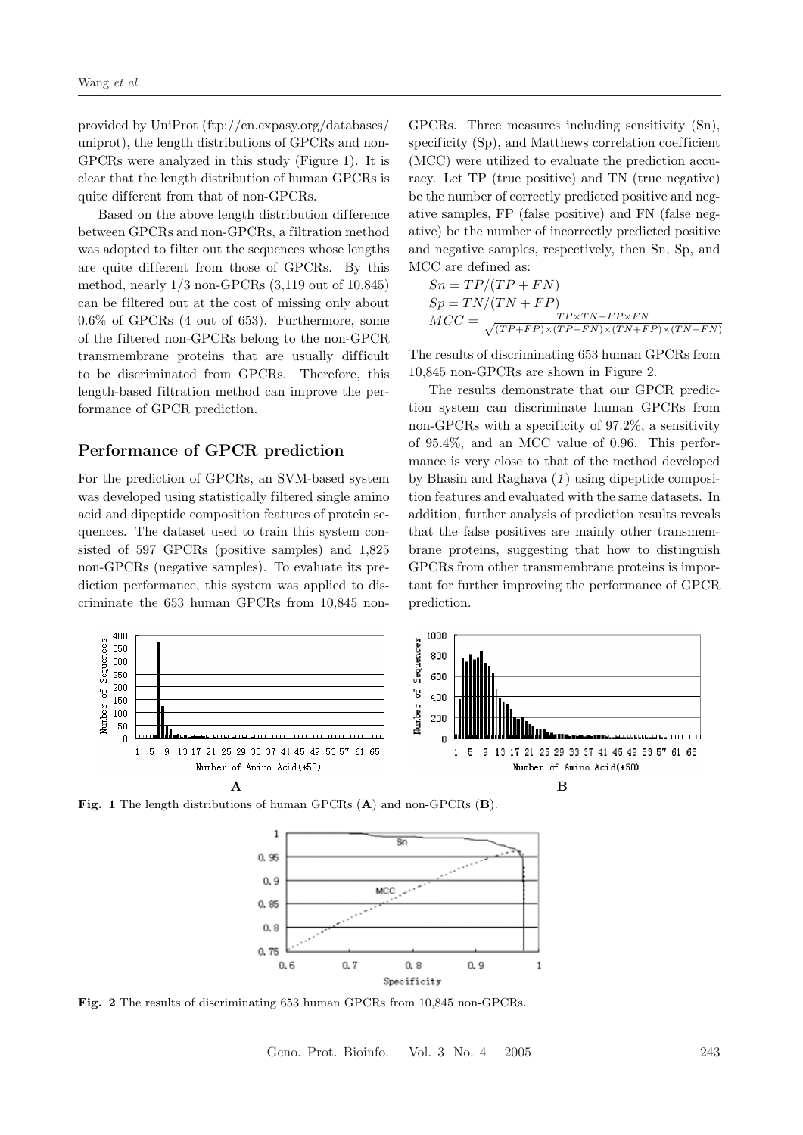provided by UniProt (ftp://cn.expasy.org/databases/ uniprot), the length distributions of GPCRs and non-GPCRs were analyzed in this study (Figure 1). It is clear that the length distribution of human GPCRs is quite different from that of non-GPCRs.

Based on the above length distribution difference between GPCRs and non-GPCRs, a filtration method was adopted to filter out the sequences whose lengths are quite different from those of GPCRs. By this method, nearly 1/3 non-GPCRs (3,119 out of 10,845) can be filtered out at the cost of missing only about 0.6% of GPCRs (4 out of 653). Furthermore, some of the filtered non-GPCRs belong to the non-GPCR transmembrane proteins that are usually difficult to be discriminated from GPCRs. Therefore, this length-based filtration method can improve the performance of GPCR prediction.

### Performance of GPCR prediction

For the prediction of GPCRs, an SVM-based system was developed using statistically filtered single amino acid and dipeptide composition features of protein sequences. The dataset used to train this system consisted of 597 GPCRs (positive samples) and 1,825 non-GPCRs (negative samples). To evaluate its prediction performance, this system was applied to discriminate the 653 human GPCRs from 10,845 non-

GPCRs. Three measures including sensitivity (Sn), specificity  $(S_p)$ , and Matthews correlation coefficient (MCC) were utilized to evaluate the prediction accuracy. Let TP (true positive) and TN (true negative) be the number of correctly predicted positive and negative samples, FP (false positive) and FN (false negative) be the number of incorrectly predicted positive and negative samples, respectively, then Sn, Sp, and MCC are defined as:

$$
Sn = TP/(TP + FN)
$$
  
\n
$$
Sp = TN/(TN + FP)
$$
  
\n
$$
MCC = \frac{TP \times TN - FP \times FN}{\sqrt{(TP + FP) \times (TP + FN) \times (TN + FP) \times (TN + FN)}}
$$

The results of discriminating 653 human GPCRs from 10,845 non-GPCRs are shown in Figure 2.

The results demonstrate that our GPCR prediction system can discriminate human GPCRs from non-GPCRs with a specificity of 97.2%, a sensitivity of 95.4%, and an MCC value of 0.96. This performance is very close to that of the method developed by Bhasin and Raghava  $(1)$  using dipeptide composition features and evaluated with the same datasets. In addition, further analysis of prediction results reveals that the false positives are mainly other transmembrane proteins, suggesting that how to distinguish GPCRs from other transmembrane proteins is important for further improving the performance of GPCR prediction.



Fig. 1 The length distributions of human GPCRs (A) and non-GPCRs (B).



Fig. 2 The results of discriminating 653 human GPCRs from 10,845 non-GPCRs.

Geno. Prot. Bioinfo. Vol. 3 No. 4 2005 243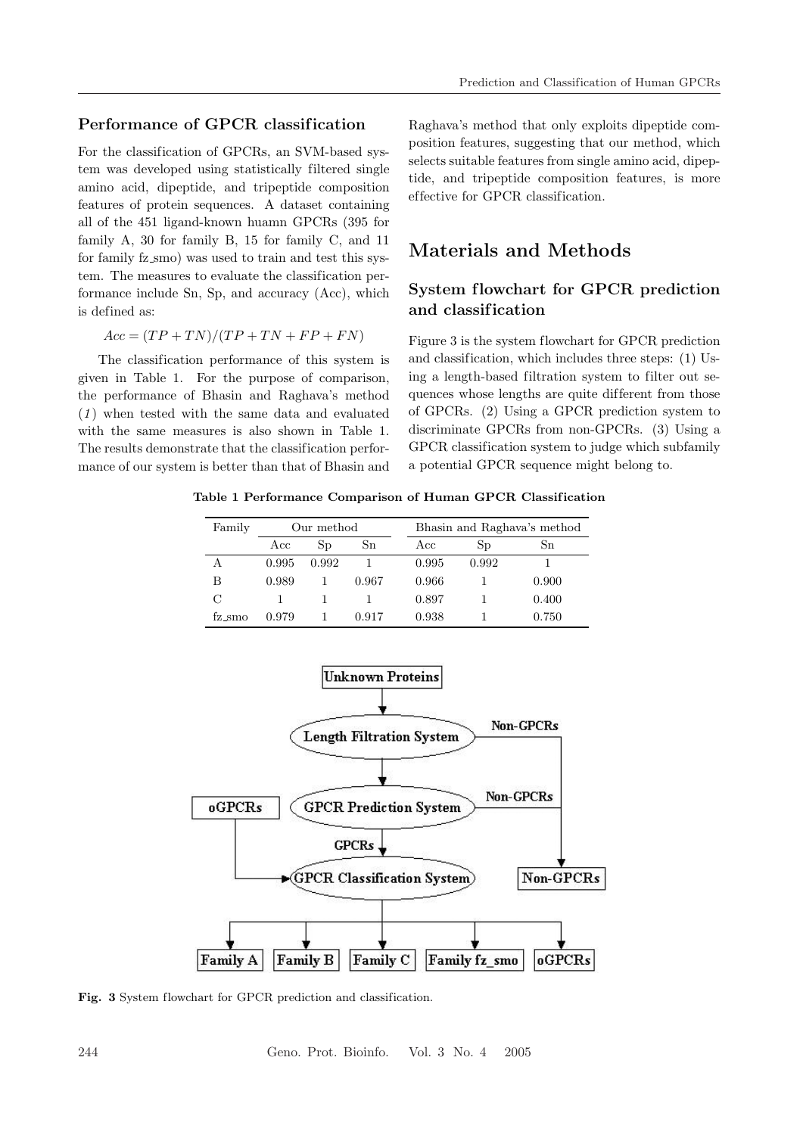### Performance of GPCR classification

For the classification of GPCRs, an SVM-based system was developed using statistically filtered single amino acid, dipeptide, and tripeptide composition features of protein sequences. A dataset containing all of the 451 ligand-known huamn GPCRs (395 for family A, 30 for family B, 15 for family C, and 11 for family fz\_smo) was used to train and test this system. The measures to evaluate the classification performance include Sn, Sp, and accuracy (Acc), which is defined as:

$$
Acc = (TP + TN)/(TP + TN + FP + FN)
$$

The classification performance of this system is given in Table 1. For the purpose of comparison, the performance of Bhasin and Raghava's method  $(1)$  when tested with the same data and evaluated with the same measures is also shown in Table 1. The results demonstrate that the classification performance of our system is better than that of Bhasin and Raghava's method that only exploits dipeptide composition features, suggesting that our method, which selects suitable features from single amino acid, dipeptide, and tripeptide composition features, is more ef fective for GPCR classification.

## Materials and Methods

### System flowchart for GPCR prediction and classif ication

Figure 3 is the system flowchart for GPCR prediction and classification, which includes three steps: (1) Using a length-based filtration system to filter out sequences whose lengths are quite dif ferent from those of GPCRs. (2) Using a GPCR prediction system to discriminate GPCRs from non-GPCRs. (3) Using a GPCR classification system to judge which subfamily a potential GPCR sequence might belong to.

Table 1 Performance Comparison of Human GPCR Classif ication

| Family | Our method |       |       | Bhasin and Raghava's method |             |       |
|--------|------------|-------|-------|-----------------------------|-------------|-------|
|        | Acc        | Sp    | Sn    | Acc                         | $_{\rm Sp}$ | Sn    |
| А      | 0.995      | 0.992 |       | 0.995                       | 0.992       |       |
| В      | 0.989      |       | 0.967 | 0.966                       |             | 0.900 |
| С      |            |       |       | 0.897                       |             | 0.400 |
| fz_smo | 0.979      |       | 0.917 | 0.938                       |             | 0.750 |



Fig. 3 System flowchart for GPCR prediction and classification.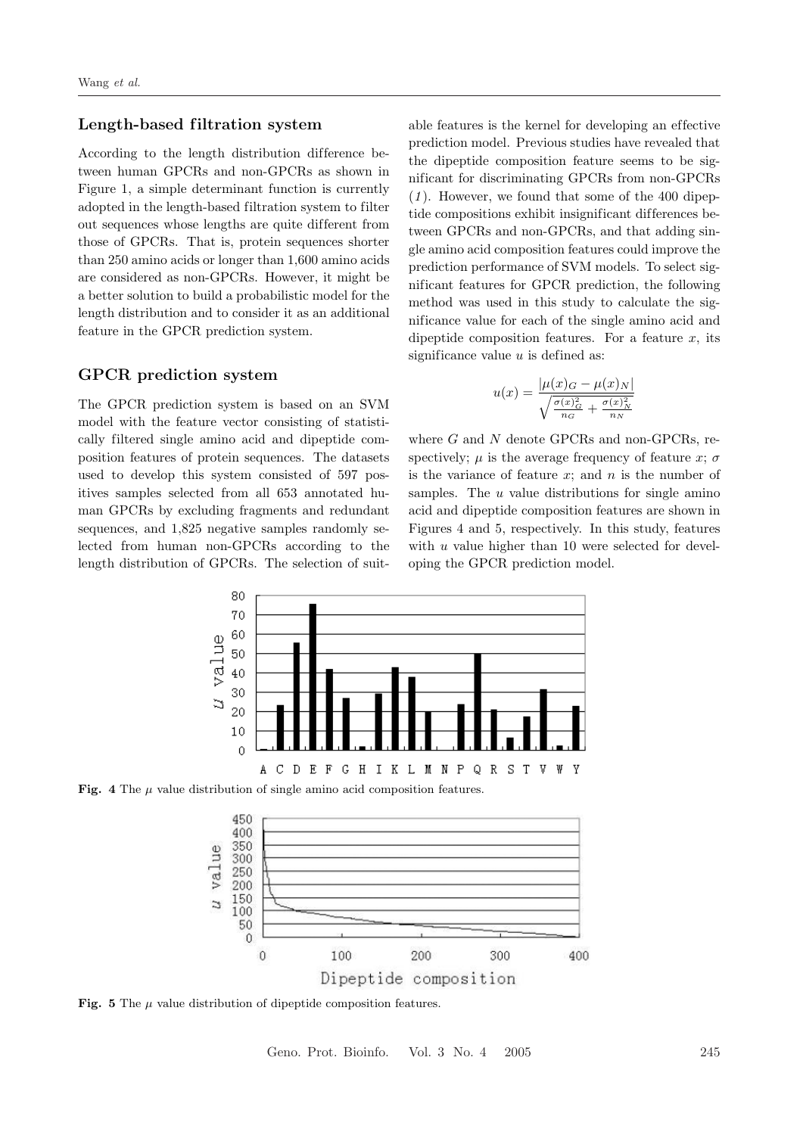#### Length-based filtration system

According to the length distribution difference between human GPCRs and non-GPCRs as shown in Figure 1, a simple determinant function is currently adopted in the length-based filtration system to filter out sequences whose lengths are quite different from those of GPCRs. That is, protein sequences shorter than 250 amino acids or longer than 1,600 amino acids are considered as non-GPCRs. However, it might be a better solution to build a probabilistic model for the length distribution and to consider it as an additional feature in the GPCR prediction system.

### GPCR prediction system

The GPCR prediction system is based on an SVM model with the feature vector consisting of statistically filtered single amino acid and dipeptide composition features of protein sequences. The datasets used to develop this system consisted of 597 positives samples selected from all 653 annotated human GPCRs by excluding fragments and redundant sequences, and 1,825 negative samples randomly selected from human non-GPCRs according to the length distribution of GPCRs. The selection of suit-

able features is the kernel for developing an ef fective prediction model. Previous studies have revealed that the dipeptide composition feature seems to be significant for discriminating GPCRs from non-GPCRs  $(1)$ . However, we found that some of the 400 dipeptide compositions exhibit insignificant differences between GPCRs and non-GPCRs, and that adding single amino acid composition features could improve the prediction performance of SVM models. To select significant features for GPCR prediction, the following method was used in this study to calculate the significance value for each of the single amino acid and dipeptide composition features. For a feature  $x$ , its significance value  $u$  is defined as:

$$
u(x) = \frac{|\mu(x)_{G} - \mu(x)_{N}|}{\sqrt{\frac{\sigma(x)_{G}^{2}}{n_{G}} + \frac{\sigma(x)_{N}^{2}}{n_{N}}}}
$$

where  $G$  and  $N$  denote GPCRs and non-GPCRs, respectively;  $\mu$  is the average frequency of feature x;  $\sigma$ is the variance of feature  $x$ ; and  $n$  is the number of samples. The  $u$  value distributions for single amino acid and dipeptide composition features are shown in Figures 4 and 5, respectively. In this study, features with  $u$  value higher than 10 were selected for developing the GPCR prediction model.



Fig. 4 The  $\mu$  value distribution of single amino acid composition features.



Fig. 5 The  $\mu$  value distribution of dipeptide composition features.